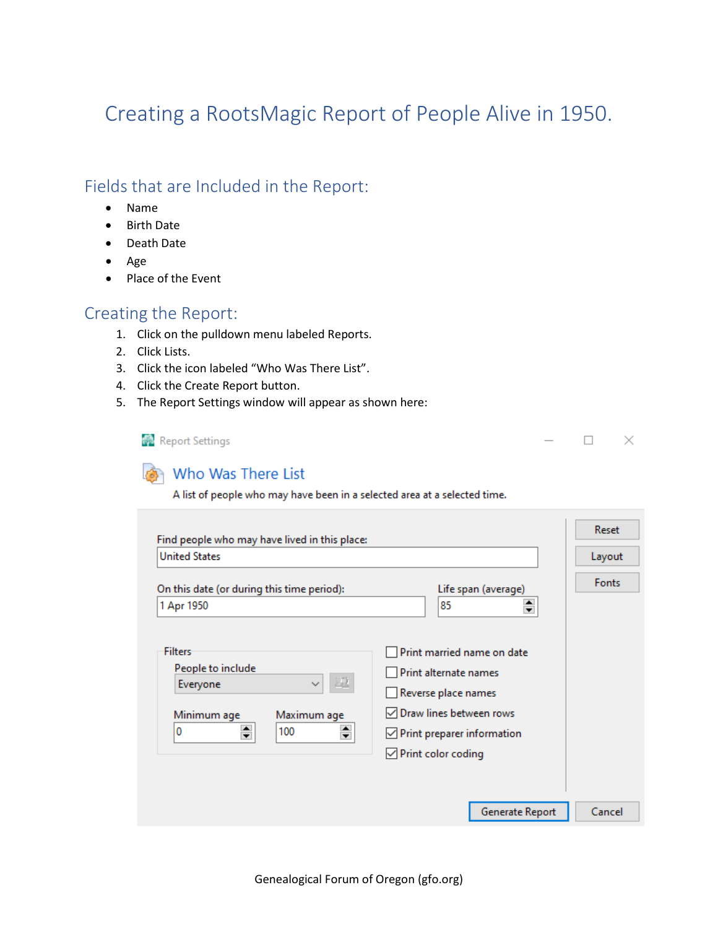## Creating a RootsMagic Report of People Alive in 1950.

## Fields that are Included in the Report:

- Name
- Birth Date
- Death Date
- Age
- Place of the Event

## Creating the Report:

- 1. Click on the pulldown menu labeled Reports.
- 2. Click Lists.
- 3. Click the icon labeled "Who Was There List".
- 4. Click the Create Report button.
- 5. The Report Settings window will appear as shown here:

Report Settings

 $\Box$   $\times$ 

## Who Was There List

A list of people who may have been in a selected area at a selected time.

| Find people who may have lived in this place:                                                                          | Reset                                                                                                                                                                             |              |
|------------------------------------------------------------------------------------------------------------------------|-----------------------------------------------------------------------------------------------------------------------------------------------------------------------------------|--------------|
| <b>United States</b>                                                                                                   | Layout                                                                                                                                                                            |              |
| On this date (or during this time period):<br>1 Apr 1950                                                               | Life span (average)<br>≑<br>85                                                                                                                                                    | <b>Fonts</b> |
| Filters<br>People to include<br>里<br>Everyone<br>$\checkmark$<br>Minimum age<br>Maximum age<br>$\div$<br>÷<br>0<br>100 | Print married name on date<br>Print alternate names<br>Reverse place names<br>$\sqrt{}$ Draw lines between rows<br>$\vee$ Print preparer information<br>$\vee$ Print color coding |              |
|                                                                                                                        | Generate Report                                                                                                                                                                   | Cancel       |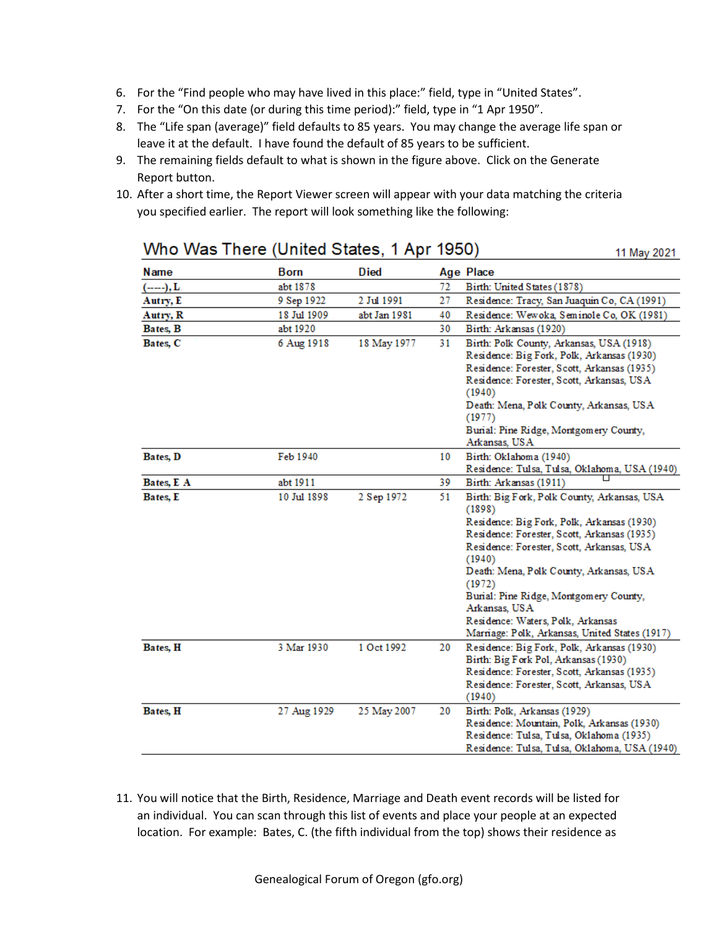- 6. For the "Find people who may have lived in this place:" field, type in "United States".
- 7. For the "On this date (or during this time period):" field, type in "1 Apr 1950".
- 8. The "Life span (average)" field defaults to 85 years. You may change the average life span or leave it at the default. I have found the default of 85 years to be sufficient.
- 9. The remaining fields default to what is shown in the figure above. Click on the Generate Report button.
- 10. After a short time, the Report Viewer screen will appear with your data matching the criteria you specified earlier. The report will look something like the following:

| Name         | <b>Born</b> | <b>Died</b>  |    | <b>Age Place</b>                                                                                                                                                                                                                                                                                                                                                                                                 |
|--------------|-------------|--------------|----|------------------------------------------------------------------------------------------------------------------------------------------------------------------------------------------------------------------------------------------------------------------------------------------------------------------------------------------------------------------------------------------------------------------|
| (------), L. | abt 1878    |              | 72 | Birth: United States (1878)                                                                                                                                                                                                                                                                                                                                                                                      |
| Autry, E     | 9 Sep 1922  | 2 Jul 1991   | 27 | Residence: Tracy, San Juaquin Co, CA (1991)                                                                                                                                                                                                                                                                                                                                                                      |
| Autry, R     | 18 Jul 1909 | abt Jan 1981 | 40 | Residence: Wewoka, Seminole Co, OK (1981)                                                                                                                                                                                                                                                                                                                                                                        |
| Bates, B     | abt 1920    |              | 30 | Birth: Arkansas (1920)                                                                                                                                                                                                                                                                                                                                                                                           |
| Bates, C     | 6 Aug 1918  | 18 May 1977  | 31 | Birth: Polk County, Arkansas, USA (1918)<br>Residence: Big Fork, Polk, Arkansas (1930)<br>Residence: Forester, Scott, Arkansas (1935)<br>Residence: Forester, Scott, Arkansas, USA<br>(1940)<br>Death: Mena, Polk County, Arkansas, USA<br>(1977)<br>Burial: Pine Ridge, Montgomery County,                                                                                                                      |
| Bates, D     | Feb 1940    |              | 10 | Arkansas, USA<br>Birth: Oklahoma (1940)<br>Residence: Tulsa, Tulsa, Oklahoma, USA (1940)                                                                                                                                                                                                                                                                                                                         |
| Bates, E A   | abt 1911    |              | 39 | Birth: Arkansas (1911)                                                                                                                                                                                                                                                                                                                                                                                           |
| Bates, E     | 10 Jul 1898 | 2 Sep 1972   | 51 | Birth: Big Fork, Polk County, Arkansas, USA<br>(1898)<br>Residence: Big Fork, Polk, Arkansas (1930)<br>Residence: Forester, Scott, Arkansas (1935)<br>Residence: Forester, Scott, Arkansas, USA<br>(1940)<br>Death: Mena, Polk County, Arkansas, USA<br>(1972)<br>Burial: Pine Ridge, Montgomery County,<br>Arkansas, USA<br>Residence: Waters, Polk, Arkansas<br>Marriage: Polk, Arkansas, United States (1917) |
| Bates, H     | 3 Mar 1930  | 1 Oct 1992   | 20 | Residence: Big Fork, Polk, Arkansas (1930)<br>Birth: Big Fork Pol, Arkansas (1930)<br>Residence: Forester, Scott, Arkansas (1935)<br>Residence: Forester, Scott, Arkansas, USA<br>(1940)                                                                                                                                                                                                                         |
| Bates, H     | 27 Aug 1929 | 25 May 2007  | 20 | Birth: Polk, Arkansas (1929)<br>Residence: Mountain, Polk, Arkansas (1930)<br>Residence: Tulsa, Tulsa, Oklahoma (1935)<br>Residence: Tulsa, Tulsa, Oklahoma, USA (1940)                                                                                                                                                                                                                                          |

Who Was There (United States, 1 Apr 1950)

11 May 2021

11. You will notice that the Birth, Residence, Marriage and Death event records will be listed for an individual. You can scan through this list of events and place your people at an expected location. For example: Bates, C. (the fifth individual from the top) shows their residence as